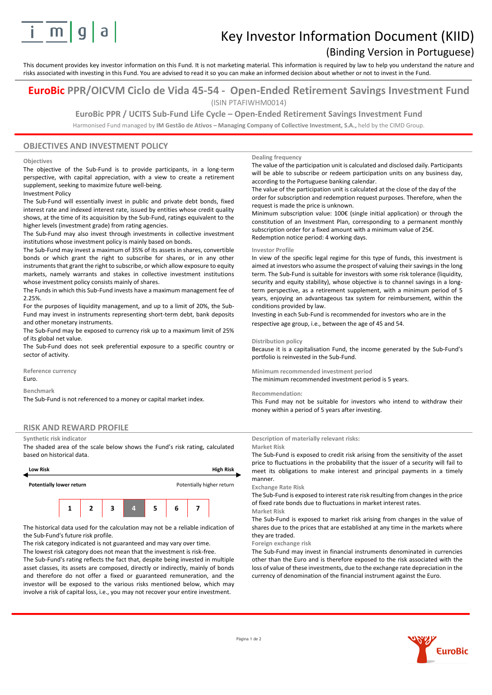

# Key Investor Information Document (KIID)

## (Binding Version in Portuguese)

This document provides key investor information on this Fund. It is not marketing material. This information is required by law to help you understand the nature and risks associated with investing in this Fund. You are advised to read it so you can make an informed decision about whether or not to invest in the Fund.

### **EuroBic PPR/OICVM Ciclo de Vida 45-54 - Open-Ended Retirement Savings Investment Fund** (ISIN PTAFIWHM0014)

**EuroBic PPR / UCITS Sub-Fund Life Cycle – Open-Ended Retirement Savings Investment Fund**

Harmonised Fund managed by **IM Gestão de Ativos – Managing Company of Collective Investment, S.A.,** held by the CIMD Group.

### **OBJECTIVES AND INVESTMENT POLICY**

#### **Objectives**

The objective of the Sub-Fund is to provide participants, in a long-term perspective, with capital appreciation, with a view to create a retirement supplement, seeking to maximize future well-being.

Investment Policy

The Sub-Fund will essentially invest in public and private debt bonds, fixed interest rate and indexed interest rate, issued by entities whose credit quality shows, at the time of its acquisition by the Sub-Fund, ratings equivalent to the higher levels (investment grade) from rating agencies.

The Sub-Fund may also invest through investments in collective investment institutions whose investment policy is mainly based on bonds.

The Sub-Fund may invest a maximum of 35% of its assets in shares, convertible bonds or which grant the right to subscribe for shares, or in any other instruments that grant the right to subscribe, or which allow exposure to equity markets, namely warrants and stakes in collective investment institutions whose investment policy consists mainly of shares.

The Funds in which this Sub-Fund invests have a maximum management fee of 2.25%.

For the purposes of liquidity management, and up to a limit of 20%, the Sub-Fund may invest in instruments representing short-term debt, bank deposits and other monetary instruments.

The Sub-Fund may be exposed to currency risk up to a maximum limit of 25% of its global net value.

The Sub-Fund does not seek preferential exposure to a specific country or sector of activity.

**Reference currency** Euro.

**Benchmark**

The Sub-Fund is not referenced to a money or capital market index.

### **RISK AND REWARD PROFILE**

#### **Synthetic risk indicator**

The shaded area of the scale below shows the Fund's risk rating, calculated based on historical data.



The historical data used for the calculation may not be a reliable indication of the Sub-Fund's future risk profile.

The risk category indicated is not guaranteed and may vary over time. The lowest risk category does not mean that the investment is risk-free. The Sub-Fund's rating reflects the fact that, despite being invested in multiple asset classes, its assets are composed, directly or indirectly, mainly of bonds and therefore do not offer a fixed or guaranteed remuneration, and the investor will be exposed to the various risks mentioned below, which may involve a risk of capital loss, i.e., you may not recover your entire investment.

#### **Dealing frequency**

The value of the participation unit is calculated and disclosed daily. Participants will be able to subscribe or redeem participation units on any business day, according to the Portuguese banking calendar.

The value of the participation unit is calculated at the close of the day of the order for subscription and redemption request purposes. Therefore, when the request is made the price is unknown.

Minimum subscription value: 100€ (single initial application) or through the constitution of an Investment Plan, corresponding to a permanent monthly subscription order for a fixed amount with a minimum value of 25€. Redemption notice period: 4 working days.

#### **Investor Profile**

In view of the specific legal regime for this type of funds, this investment is aimed at investors who assume the prospect of valuing their savings in the long term. The Sub-Fund is suitable for investors with some risk tolerance (liquidity, security and equity stability), whose objective is to channel savings in a longterm perspective, as a retirement supplement, with a minimum period of 5 years, enjoying an advantageous tax system for reimbursement, within the conditions provided by law.

Investing in each Sub-Fund is recommended for investors who are in the respective age group, i.e., between the age of 45 and 54.

#### **Distribution policy**

Because it is a capitalisation Fund, the income generated by the Sub-Fund's portfolio is reinvested in the Sub-Fund.

**Minimum recommended investment period** The minimum recommended investment period is 5 years.

#### **Recommendation:**

This Fund may not be suitable for investors who intend to withdraw their money within a period of 5 years after investing.

#### **Description of materially relevant risks:**

**Market Risk**

The Sub-Fund is exposed to credit risk arising from the sensitivity of the asset price to fluctuations in the probability that the issuer of a security will fail to meet its obligations to make interest and principal payments in a timely manner.

#### **Exchange Rate Risk**

The Sub-Fund is exposed to interest rate risk resulting from changes in the price of fixed rate bonds due to fluctuations in market interest rates. **Market Risk**

The Sub-Fund is exposed to market risk arising from changes in the value of shares due to the prices that are established at any time in the markets where they are traded.

**Foreign exchange risk**

The Sub-Fund may invest in financial instruments denominated in currencies other than the Euro and is therefore exposed to the risk associated with the loss of value of these investments, due to the exchange rate depreciation in the currency of denomination of the financial instrument against the Euro.